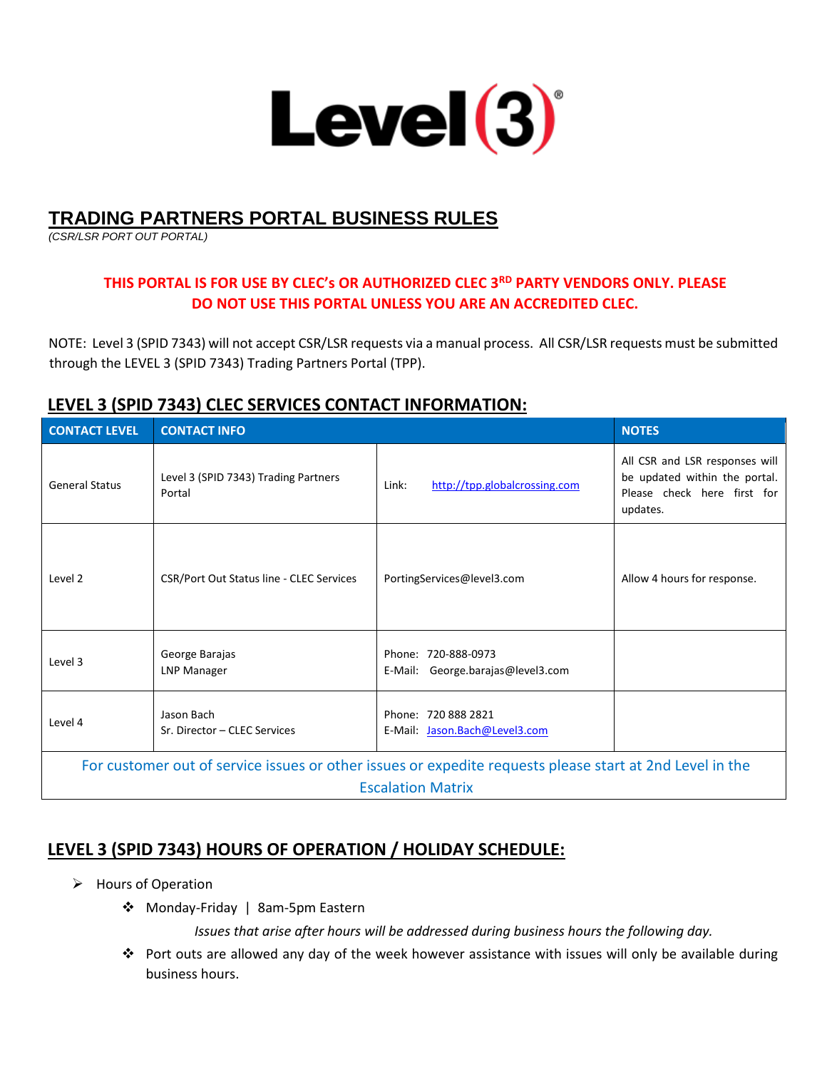

# **TRADING PARTNERS PORTAL BUSINESS RULES**

*(CSR/LSR PORT OUT PORTAL)* 

# **THIS PORTAL IS FOR USE BY CLEC's OR AUTHORIZED CLEC 3RD PARTY VENDORS ONLY. PLEASE DO NOT USE THIS PORTAL UNLESS YOU ARE AN ACCREDITED CLEC.**

NOTE: Level 3 (SPID 7343) will not accept CSR/LSR requests via a manual process. All CSR/LSR requests must be submitted through the LEVEL 3 (SPID 7343) Trading Partners Portal (TPP).

# **LEVEL 3 (SPID 7343) CLEC SERVICES CONTACT INFORMATION:**

| <b>CONTACT LEVEL</b>                                                                                                                 | <b>CONTACT INFO</b>                            |                                                          | <b>NOTES</b>                                                                                               |
|--------------------------------------------------------------------------------------------------------------------------------------|------------------------------------------------|----------------------------------------------------------|------------------------------------------------------------------------------------------------------------|
| <b>General Status</b>                                                                                                                | Level 3 (SPID 7343) Trading Partners<br>Portal | Link:<br>http://tpp.globalcrossing.com                   | All CSR and LSR responses will<br>be updated within the portal.<br>Please check here first for<br>updates. |
| Level 2                                                                                                                              | CSR/Port Out Status line - CLEC Services       | PortingServices@level3.com                               | Allow 4 hours for response.                                                                                |
| Level 3                                                                                                                              | George Barajas<br>LNP Manager                  | Phone: 720-888-0973<br>E-Mail: George.barajas@level3.com |                                                                                                            |
| Level 4                                                                                                                              | Jason Bach<br>Sr. Director - CLEC Services     | Phone: 720 888 2821<br>E-Mail: Jason.Bach@Level3.com     |                                                                                                            |
| For customer out of service issues or other issues or expedite requests please start at 2nd Level in the<br><b>Escalation Matrix</b> |                                                |                                                          |                                                                                                            |

# **LEVEL 3 (SPID 7343) HOURS OF OPERATION / HOLIDAY SCHEDULE:**

- Hours of Operation
	- Monday-Friday | 8am-5pm Eastern

*Issues that arise after hours will be addressed during business hours the following day.* 

 Port outs are allowed any day of the week however assistance with issues will only be available during business hours.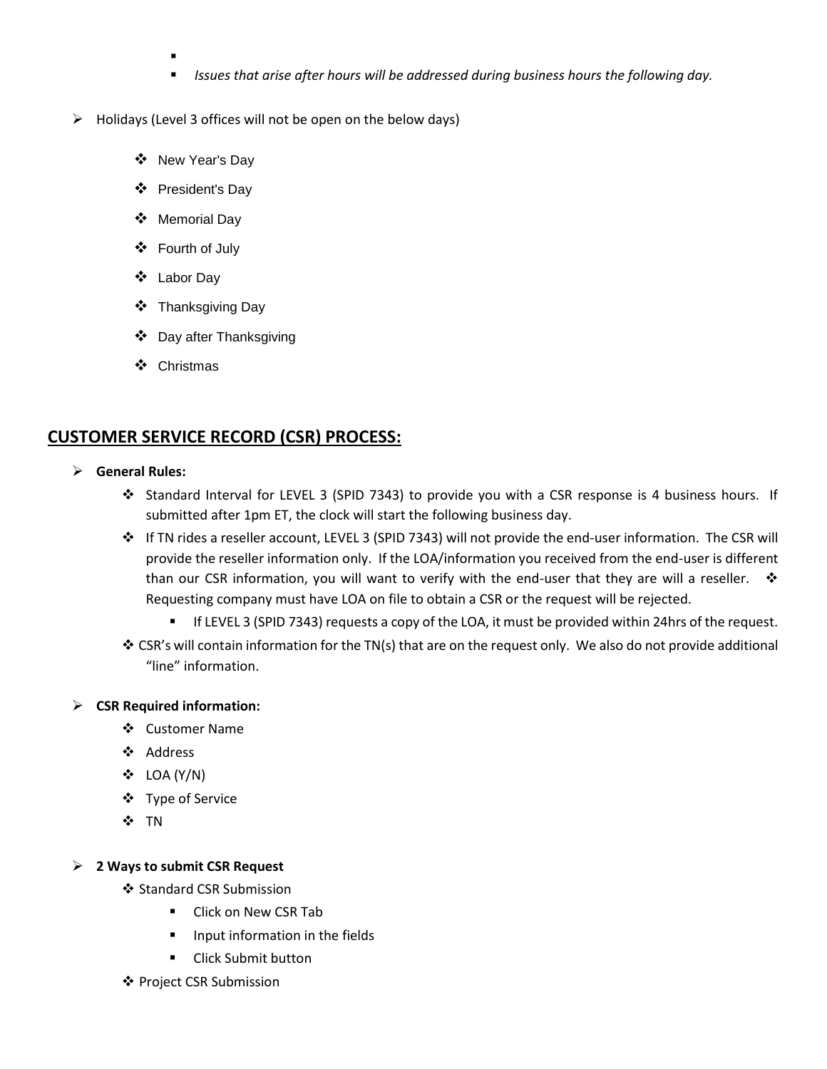- .
- *Issues that arise after hours will be addressed during business hours the following day.*
- $\triangleright$  Holidays (Level 3 offices will not be open on the below days)
	- ❖ New Year's Day
	- President's Day
	- Memorial Day
	- Fourth of July
	- Labor Day
	- **❖** Thanksgiving Day
	- Day after Thanksgiving
	- ❖ Christmas

# **CUSTOMER SERVICE RECORD (CSR) PROCESS:**

- **General Rules:** 
	- Standard Interval for LEVEL 3 (SPID 7343) to provide you with a CSR response is 4 business hours. If submitted after 1pm ET, the clock will start the following business day.
	- If TN rides a reseller account, LEVEL 3 (SPID 7343) will not provide the end-user information. The CSR will provide the reseller information only. If the LOA/information you received from the end-user is different than our CSR information, you will want to verify with the end-user that they are will a reseller.  $\mathbf{\hat{v}}$ Requesting company must have LOA on file to obtain a CSR or the request will be rejected.
		- If LEVEL 3 (SPID 7343) requests a copy of the LOA, it must be provided within 24hrs of the request.
	- CSR's will contain information for the TN(s) that are on the request only. We also do not provide additional "line" information.

### **CSR Required information:**

- Customer Name
- ❖ Address
- $\div$  LOA (Y/N)
- Type of Service
- ❖ TN

### **2 Ways to submit CSR Request**

- ❖ Standard CSR Submission
	- **E** Click on New CSR Tab
	- **Input information in the fields**
	- Click Submit button
- ❖ Project CSR Submission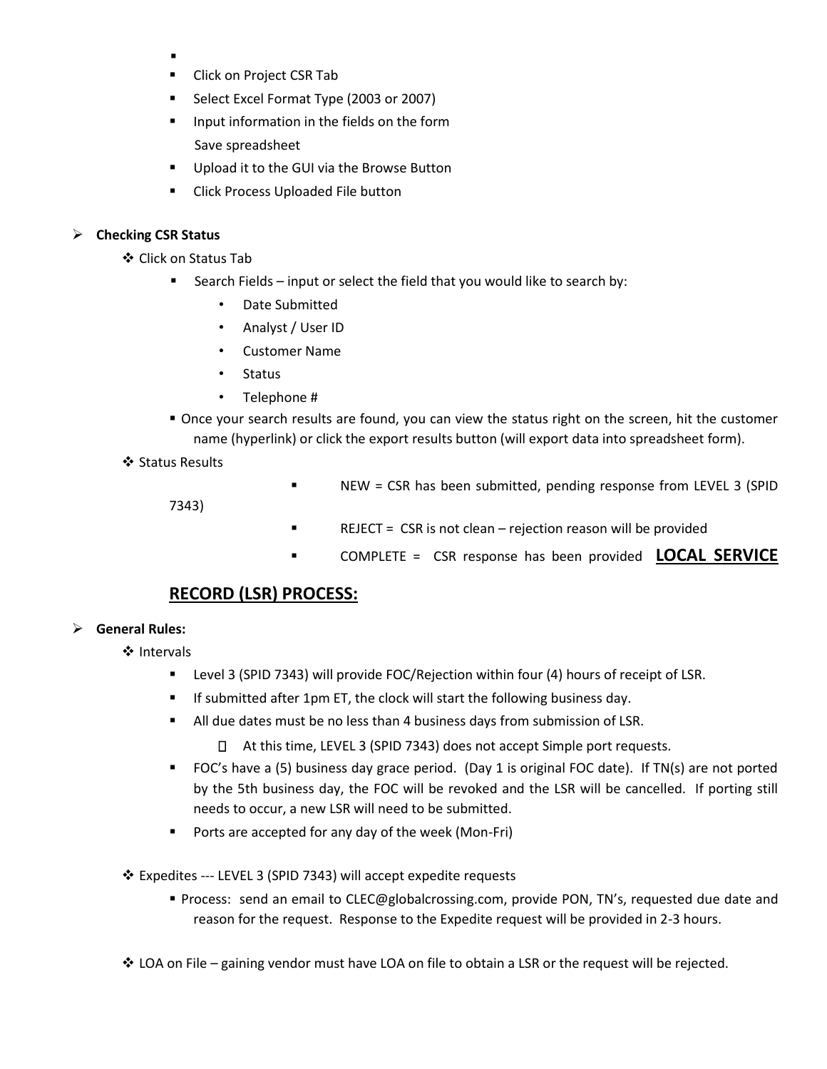- .
- **Click on Project CSR Tab**
- Select Excel Format Type (2003 or 2007)
- **IDUM** Input information in the fields on the form Save spreadsheet
- Upload it to the GUI via the Browse Button
- **EXECLICE PROCESS Uploaded File button**

### **Checking CSR Status**

Click on Status Tab

- Search Fields input or select the field that you would like to search by:
	- Date Submitted
	- Analyst / User ID
	- Customer Name
	- Status
	- Telephone #
- Once your search results are found, you can view the status right on the screen, hit the customer name (hyperlink) or click the export results button (will export data into spreadsheet form).

### ❖ Status Results

NEW = CSR has been submitted, pending response from LEVEL 3 (SPID

7343)

- **REJECT** =  $CSR$  is not clean rejection reason will be provided
- COMPLETE = CSR response has been provided **LOCAL SERVICE**

# **RECORD (LSR) PROCESS:**

### **General Rules:**

❖ Intervals

- Level 3 (SPID 7343) will provide FOC/Rejection within four (4) hours of receipt of LSR.
- **If submitted after 1pm ET, the clock will start the following business day.**
- All due dates must be no less than 4 business days from submission of LSR.
	- At this time, LEVEL 3 (SPID 7343) does not accept Simple port requests.
- FOC's have a (5) business day grace period. (Day 1 is original FOC date). If TN(s) are not ported by the 5th business day, the FOC will be revoked and the LSR will be cancelled. If porting still needs to occur, a new LSR will need to be submitted.
- **Ports are accepted for any day of the week (Mon-Fri)**
- Expedites --- LEVEL 3 (SPID 7343) will accept expedite requests
	- **Process: send an email to CLEC@globalcrossing.com, provide PON, TN's, requested due date and** reason for the request. Response to the Expedite request will be provided in 2-3 hours.
- LOA on File gaining vendor must have LOA on file to obtain a LSR or the request will be rejected.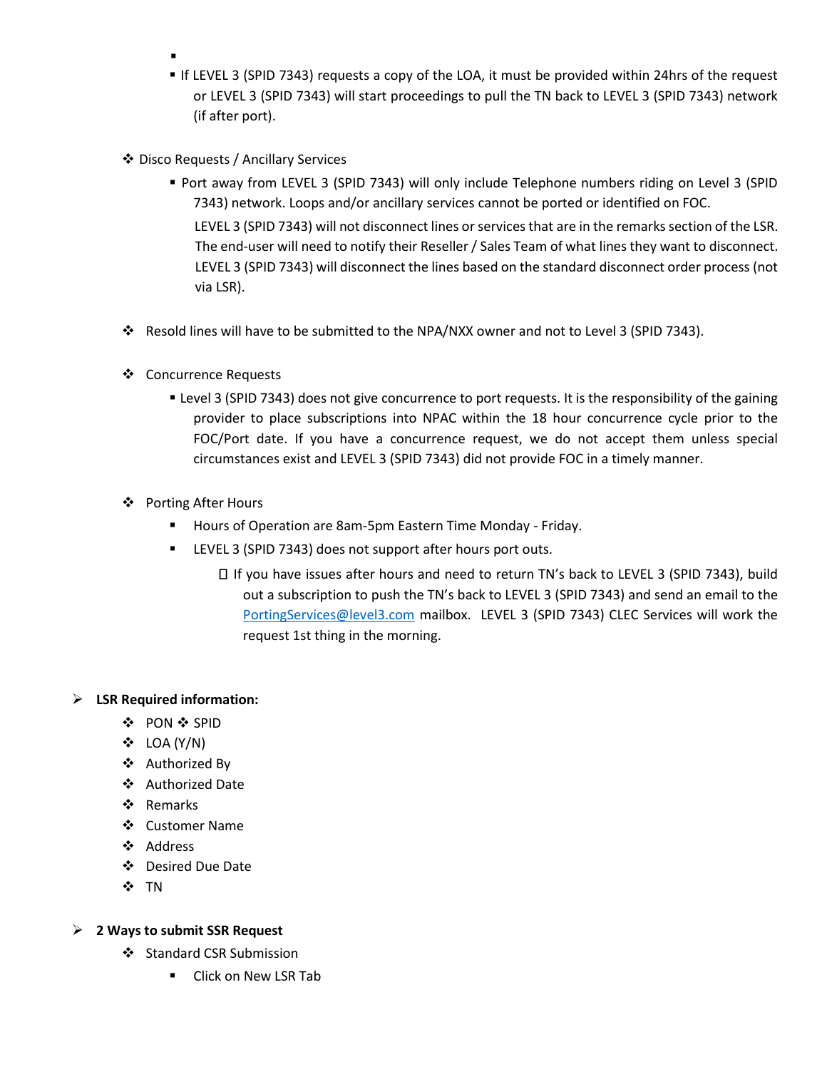- .
- If LEVEL 3 (SPID 7343) requests a copy of the LOA, it must be provided within 24hrs of the request or LEVEL 3 (SPID 7343) will start proceedings to pull the TN back to LEVEL 3 (SPID 7343) network (if after port).
- Disco Requests / Ancillary Services
	- Port away from LEVEL 3 (SPID 7343) will only include Telephone numbers riding on Level 3 (SPID 7343) network. Loops and/or ancillary services cannot be ported or identified on FOC. LEVEL 3 (SPID 7343) will not disconnect lines or services that are in the remarks section of the LSR. The end-user will need to notify their Reseller / Sales Team of what lines they want to disconnect. LEVEL 3 (SPID 7343) will disconnect the lines based on the standard disconnect order process (not via LSR).
- Resold lines will have to be submitted to the NPA/NXX owner and not to Level 3 (SPID 7343).
- Concurrence Requests
	- Level 3 (SPID 7343) does not give concurrence to port requests. It is the responsibility of the gaining provider to place subscriptions into NPAC within the 18 hour concurrence cycle prior to the FOC/Port date. If you have a concurrence request, we do not accept them unless special circumstances exist and LEVEL 3 (SPID 7343) did not provide FOC in a timely manner.
- ❖ Porting After Hours
	- Hours of Operation are 8am-5pm Eastern Time Monday Friday.
	- LEVEL 3 (SPID 7343) does not support after hours port outs.
		- If you have issues after hours and need to return TN's back to LEVEL 3 (SPID 7343), build out a subscription to push the TN's back to LEVEL 3 (SPID 7343) and send an email to the [PortingServices@level3.com](mailto:PortingServices@level3.com) mailbox. LEVEL 3 (SPID 7343) CLEC Services will work the request 1st thing in the morning.

## **LSR Required information:**

- ❖ PON ❖ SPID
- $\div$  LOA (Y/N)
- Authorized By
- Authorized Date
- ❖ Remarks
- Customer Name
- Address
- Desired Due Date
- ❖ TN

## **2 Ways to submit SSR Request**

- Standard CSR Submission
	- **E** Click on New LSR Tab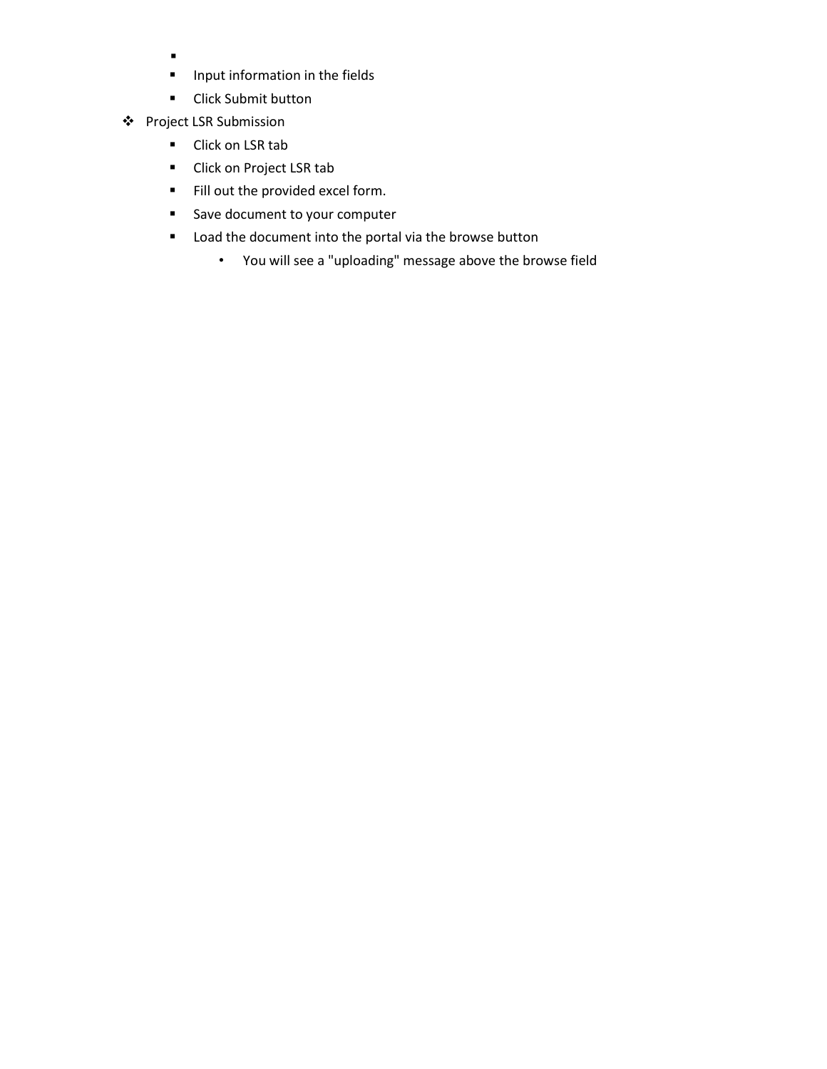- $\blacksquare$
- **Input information in the fields**
- **-** Click Submit button
- Project LSR Submission
	- Click on LSR tab
	- Click on Project LSR tab
	- Fill out the provided excel form.
	- Save document to your computer
	- **E** Load the document into the portal via the browse button
		- You will see a "uploading" message above the browse field